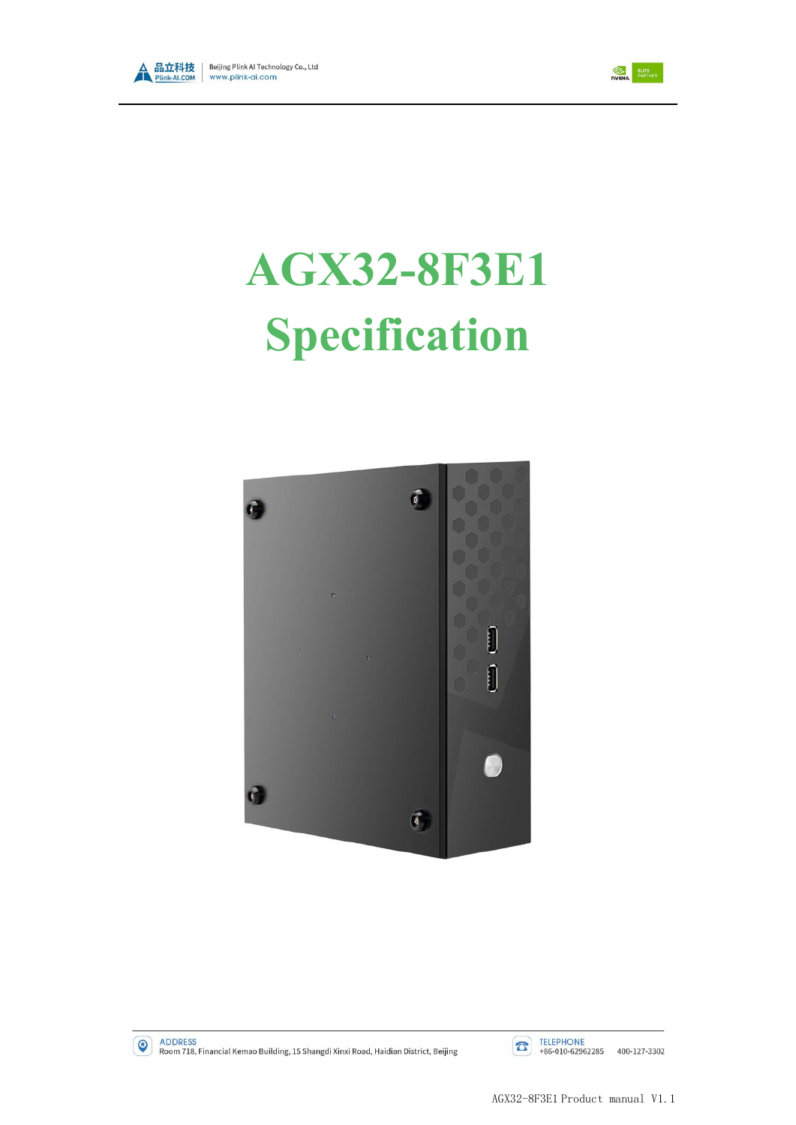



# **AGX32-8F3E1 Specification**



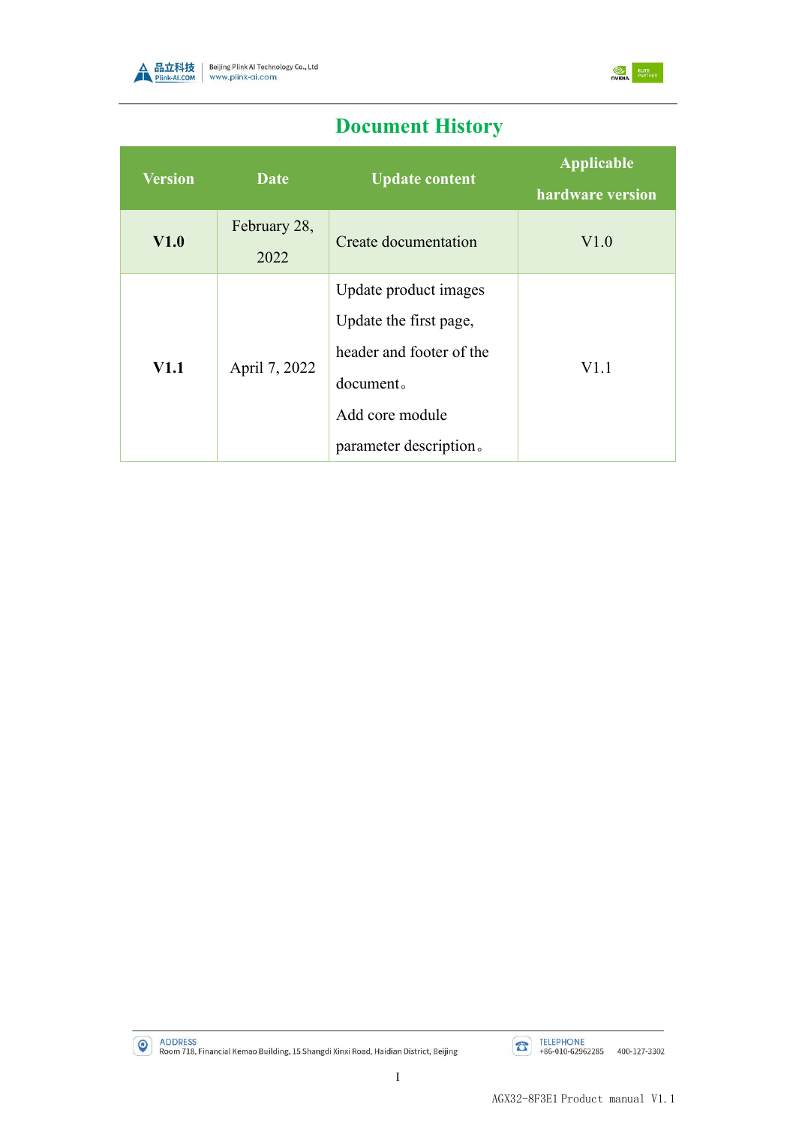



# **Document History**

| <b>Version</b> | <b>Date</b>          | <b>Update content</b>                                                                                                                 | <b>Applicable</b><br>hardware version |
|----------------|----------------------|---------------------------------------------------------------------------------------------------------------------------------------|---------------------------------------|
| V1.0           | February 28,<br>2022 | Create documentation                                                                                                                  | V1.0                                  |
| <b>V1.1</b>    | April 7, 2022        | Update product images<br>Update the first page,<br>header and footer of the<br>document.<br>Add core module<br>parameter description. | V1.1                                  |



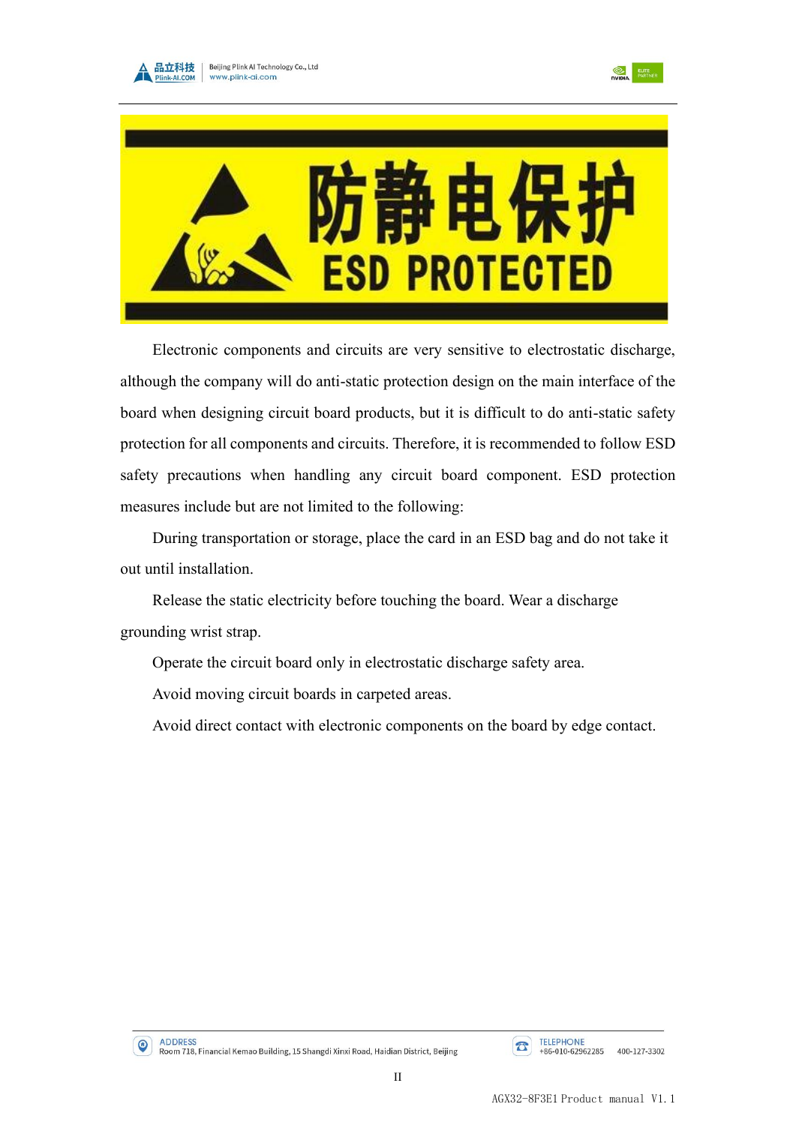





Electronic components and circuits are very sensitive to electrostatic discharge, although the company will do anti-static protection design on the main interface of the board when designing circuit board products, but it is difficult to do anti-static safety protection for all components and circuits. Therefore, it is recommended to follow ESD safety precautions when handling any circuit board component. ESD protection measures include but are not limited to the following:

During transportation or storage, place the card in an ESD bag and do not take it out until installation.

Release the static electricity before touching the board. Wear a discharge grounding wrist strap.

Operate the circuit board only in electrostatic discharge safety area.

Avoid moving circuit boards in carpeted areas.

Avoid direct contact with electronic components on the board by edge contact.

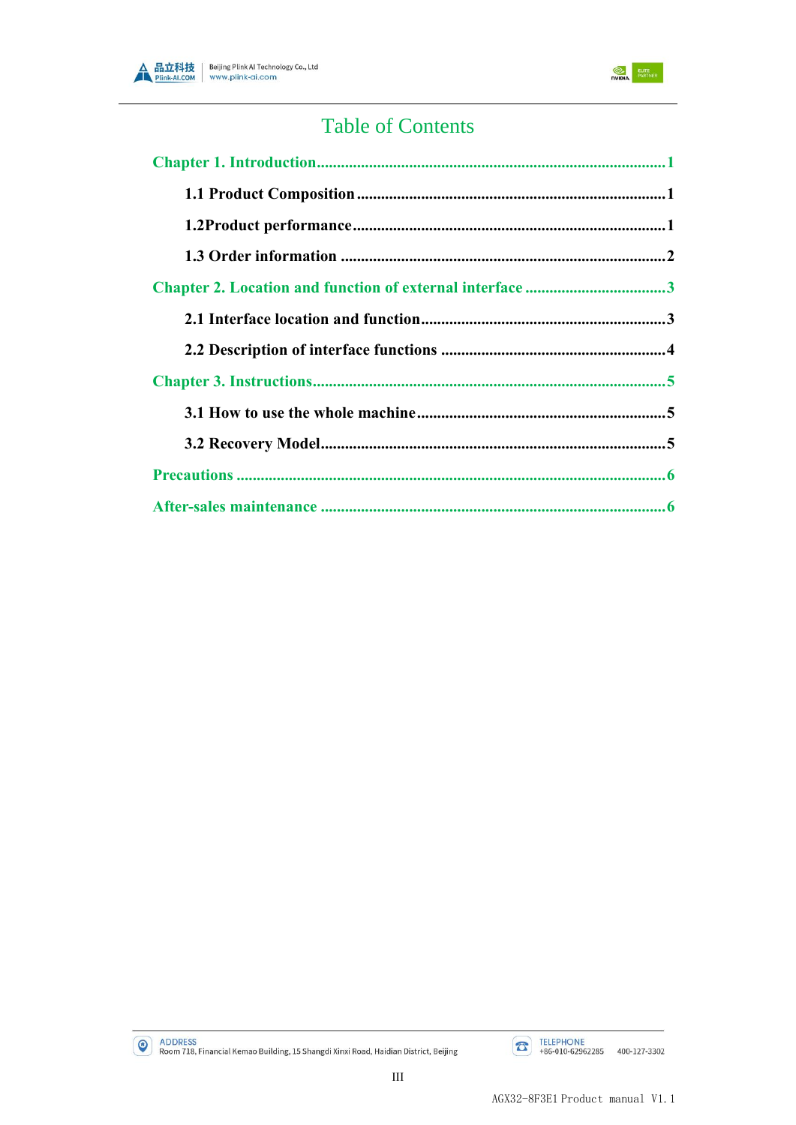



# **Table of Contents**

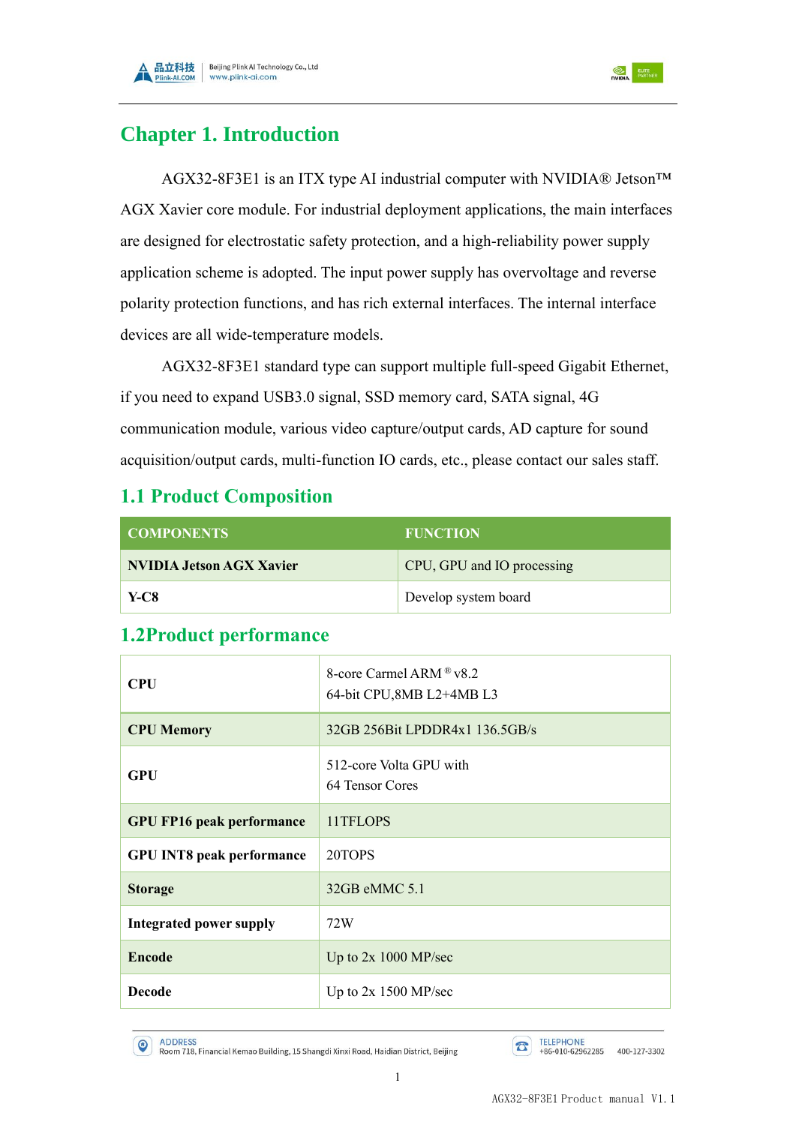



## <span id="page-4-0"></span>**Chapter 1. Introduction**

AGX32-8F3E1 is an ITX type AI industrial computer with NVIDIA® Jetson™ AGX Xavier core module. For industrial deployment applications, the main interfaces are designed for electrostatic safety protection, and a high-reliability power supply application scheme is adopted. The input power supply has overvoltage and reverse polarity protection functions, and has rich external interfaces. The internal interface devices are all wide-temperature models.

AGX32-8F3E1 standard type can support multiple full-speed Gigabit Ethernet, if you need to expand USB3.0 signal, SSD memory card, SATA signal, 4G communication module, various video capture/output cards, AD capture for sound acquisition/output cards, multi-function IO cards, etc., please contact our sales staff.

### <span id="page-4-1"></span>**1.1 Product Composition**

| <b>COMPONENTS</b>               | <b>FUNCTION</b>            |
|---------------------------------|----------------------------|
| <b>NVIDIA Jetson AGX Xavier</b> | CPU, GPU and IO processing |
| Y-C8                            | Develop system board       |

| <b>CPU</b>                       | 8-core Carmel ARM ® v8.2<br>64-bit CPU,8MB L2+4MB L3 |  |
|----------------------------------|------------------------------------------------------|--|
| <b>CPU Memory</b>                | 32GB 256Bit LPDDR4x1 136.5GB/s                       |  |
| <b>GPU</b>                       | 512-core Volta GPU with<br>64 Tensor Cores           |  |
| <b>GPU FP16 peak performance</b> | 11TFLOPS                                             |  |
| <b>GPU INT8 peak performance</b> | 20TOPS                                               |  |
| <b>Storage</b>                   | $32GB$ eMMC $5.1$                                    |  |
| <b>Integrated power supply</b>   | 72W                                                  |  |
| <b>Encode</b>                    | Up to $2x 1000 MP/sec$                               |  |
| <b>Decode</b>                    | Up to $2x$ 1500 MP/sec                               |  |

#### <span id="page-4-2"></span>**1.2Product performance**

(C) ADDRESS<br>Room 718, Financial Kemao Building, 15 Shangdi Xinxi Road, Haidian District, Beijing

TELEPHONE<br>+86-010-62962285 400-127-3302  $\sigma$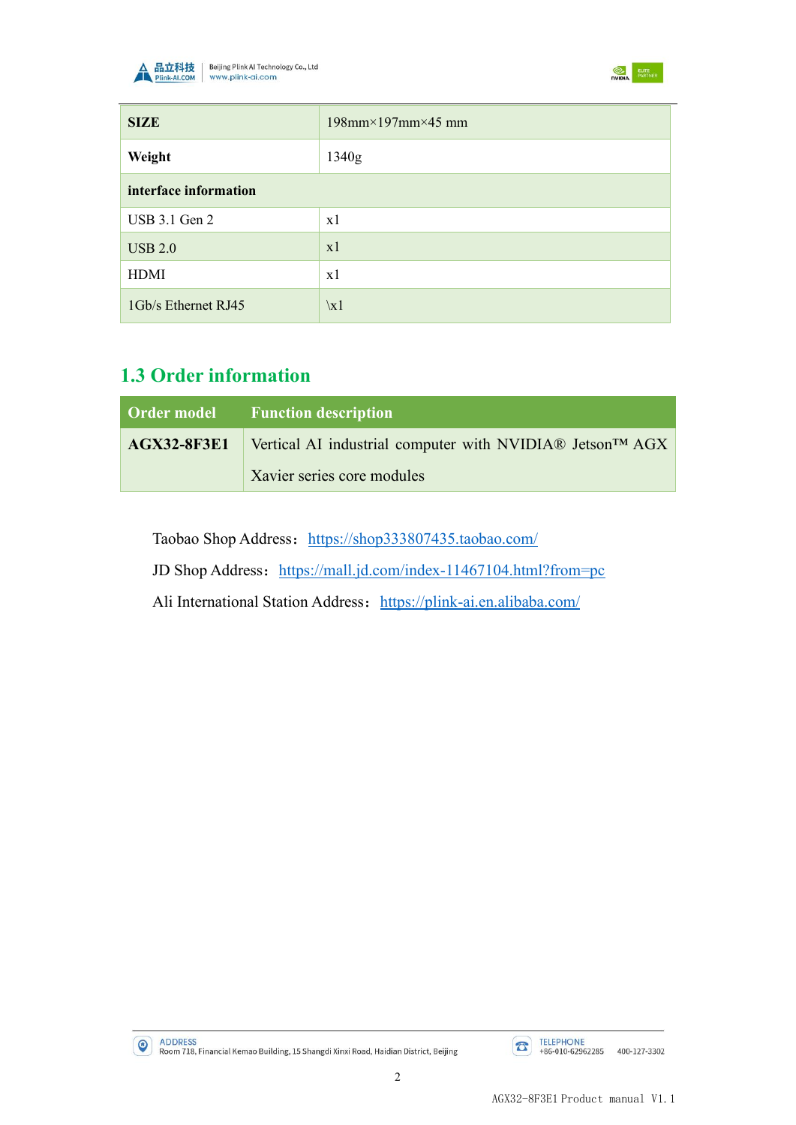



| <b>SIZE</b>           | $198$ mm $\times$ 197mm $\times$ 45 mm |
|-----------------------|----------------------------------------|
| Weight                | 1340g                                  |
| interface information |                                        |
| USB 3.1 Gen 2         | x1                                     |
| <b>USB 2.0</b>        | x1                                     |
| HDMI                  | x1                                     |
| 1Gb/s Ethernet RJ45   | $\chi$ 1                               |

## <span id="page-5-0"></span>**1.3 Order information**

| <b>Order model</b> Function description                                             |  |
|-------------------------------------------------------------------------------------|--|
| $AGX32-8F3E1$ Vertical AI industrial computer with NVIDIA® Jetson <sup>TM</sup> AGX |  |
| Xavier series core modules                                                          |  |

Taobao Shop Address: <https://shop333807435.taobao.com/>

JD Shop Address: <https://mall.jd.com/index-11467104.html?from=pc>

Ali International Station Address: https://plink-ai.en.alibaba.com/

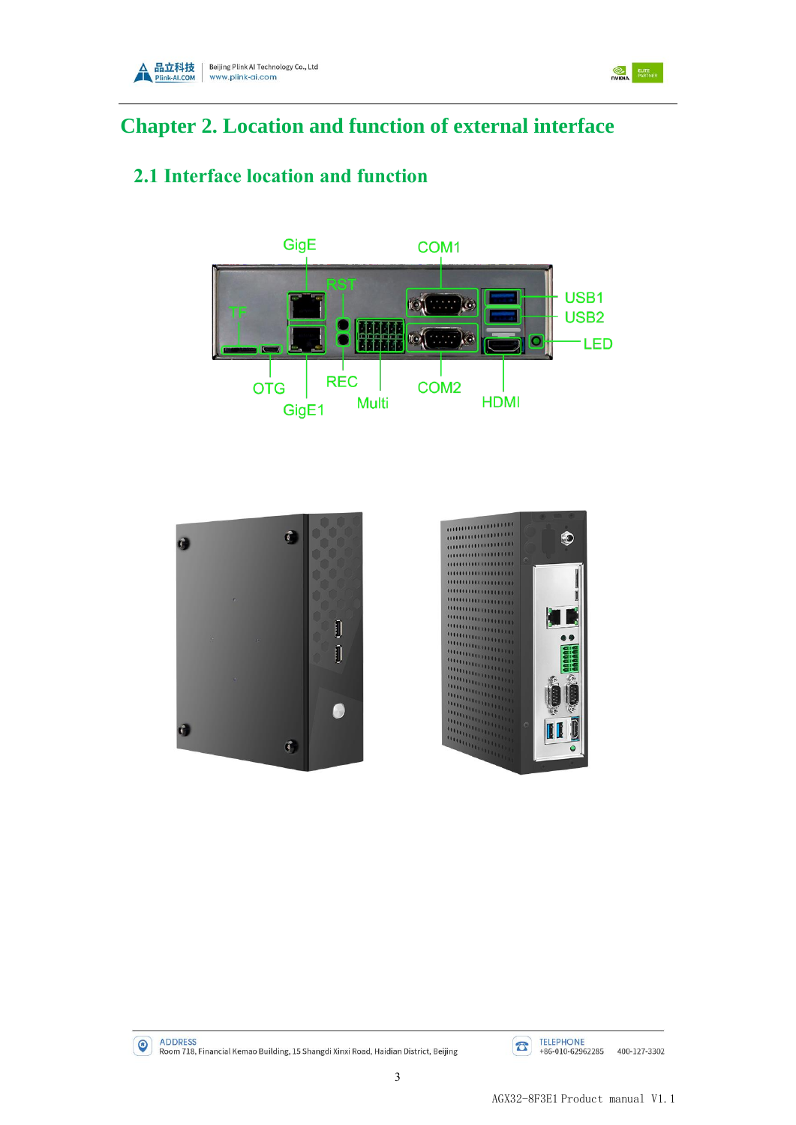

<span id="page-6-0"></span>

## <span id="page-6-1"></span>**2.1 Interface location and function**







ELITE<br>
NVIDIA PARTNER



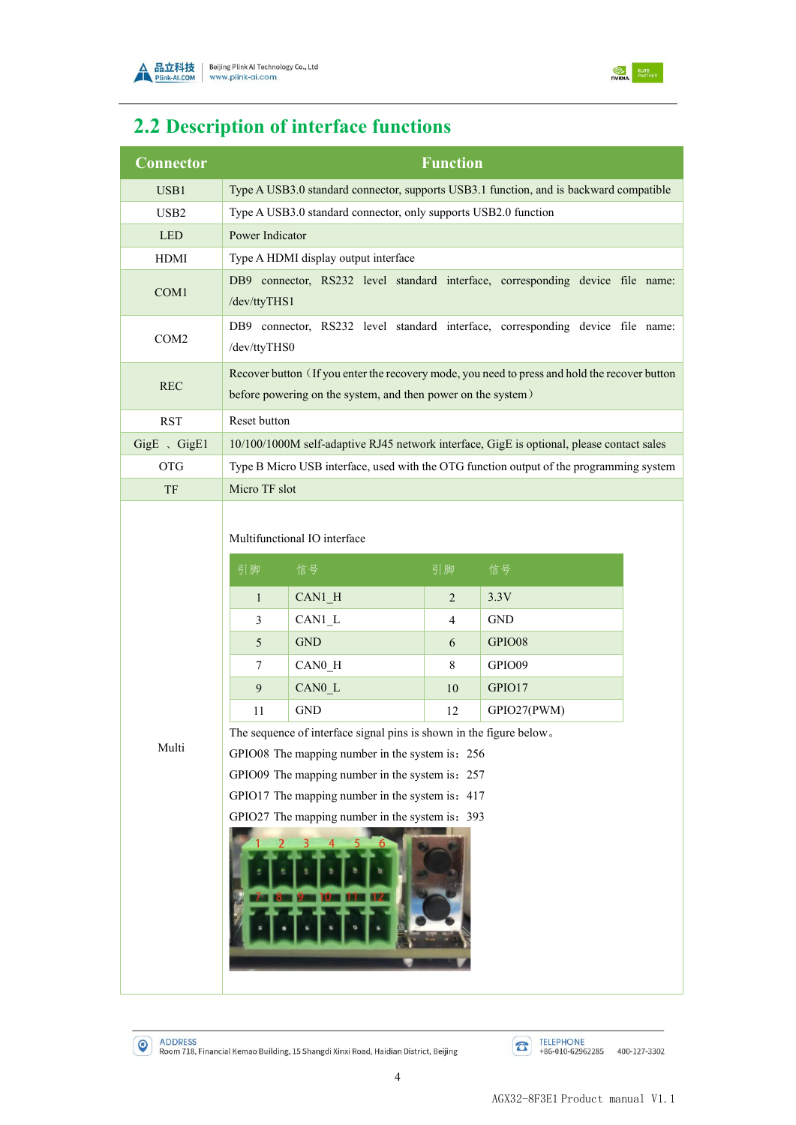



# <span id="page-7-0"></span>**2.2 Description of interface functions**

| Connector        | <b>Function</b>                                                                                                                                                                                                                                                                                                                                                                                                                                                                                                                                                 |                                                                 |  |                                                                                           |  |
|------------------|-----------------------------------------------------------------------------------------------------------------------------------------------------------------------------------------------------------------------------------------------------------------------------------------------------------------------------------------------------------------------------------------------------------------------------------------------------------------------------------------------------------------------------------------------------------------|-----------------------------------------------------------------|--|-------------------------------------------------------------------------------------------|--|
| USB1             | Type A USB3.0 standard connector, supports USB3.1 function, and is backward compatible                                                                                                                                                                                                                                                                                                                                                                                                                                                                          |                                                                 |  |                                                                                           |  |
| USB <sub>2</sub> |                                                                                                                                                                                                                                                                                                                                                                                                                                                                                                                                                                 | Type A USB3.0 standard connector, only supports USB2.0 function |  |                                                                                           |  |
| <b>LED</b>       | Power Indicator                                                                                                                                                                                                                                                                                                                                                                                                                                                                                                                                                 |                                                                 |  |                                                                                           |  |
| HDMI             |                                                                                                                                                                                                                                                                                                                                                                                                                                                                                                                                                                 | Type A HDMI display output interface                            |  |                                                                                           |  |
| COM1             | DB9 connector, RS232 level standard interface, corresponding device file name:<br>/dev/ttyTHS1                                                                                                                                                                                                                                                                                                                                                                                                                                                                  |                                                                 |  |                                                                                           |  |
| COM <sub>2</sub> | DB9 connector, RS232 level standard interface, corresponding device file name:<br>/dev/ttyTHS0                                                                                                                                                                                                                                                                                                                                                                                                                                                                  |                                                                 |  |                                                                                           |  |
| <b>REC</b>       | Recover button (If you enter the recovery mode, you need to press and hold the recover button<br>before powering on the system, and then power on the system)                                                                                                                                                                                                                                                                                                                                                                                                   |                                                                 |  |                                                                                           |  |
| <b>RST</b>       | Reset button                                                                                                                                                                                                                                                                                                                                                                                                                                                                                                                                                    |                                                                 |  |                                                                                           |  |
| GigE 、GigE1      |                                                                                                                                                                                                                                                                                                                                                                                                                                                                                                                                                                 |                                                                 |  | 10/100/1000M self-adaptive RJ45 network interface, GigE is optional, please contact sales |  |
| <b>OTG</b>       |                                                                                                                                                                                                                                                                                                                                                                                                                                                                                                                                                                 |                                                                 |  | Type B Micro USB interface, used with the OTG function output of the programming system   |  |
| TF               | Micro TF slot                                                                                                                                                                                                                                                                                                                                                                                                                                                                                                                                                   |                                                                 |  |                                                                                           |  |
| Multi            | Multifunctional IO interface<br>引脚<br>引脚<br>信号<br>信号<br>3.3V<br>$CAN1_H$<br>2<br>$\mathbf{1}$<br>CAN1 L<br><b>GND</b><br>3<br>4<br><b>GND</b><br>GPIO08<br>5<br>6<br>CAN0 H<br>8<br>GPIO09<br>$\tau$<br>10<br>GPIO17<br>9<br>CAN0 L<br><b>GND</b><br>12<br>GPIO27(PWM)<br>11<br>The sequence of interface signal pins is shown in the figure below.<br>GPIO08 The mapping number in the system is: 256<br>GPIO09 The mapping number in the system is: 257<br>GPIO17 The mapping number in the system is: 417<br>GPIO27 The mapping number in the system is: 393 |                                                                 |  |                                                                                           |  |

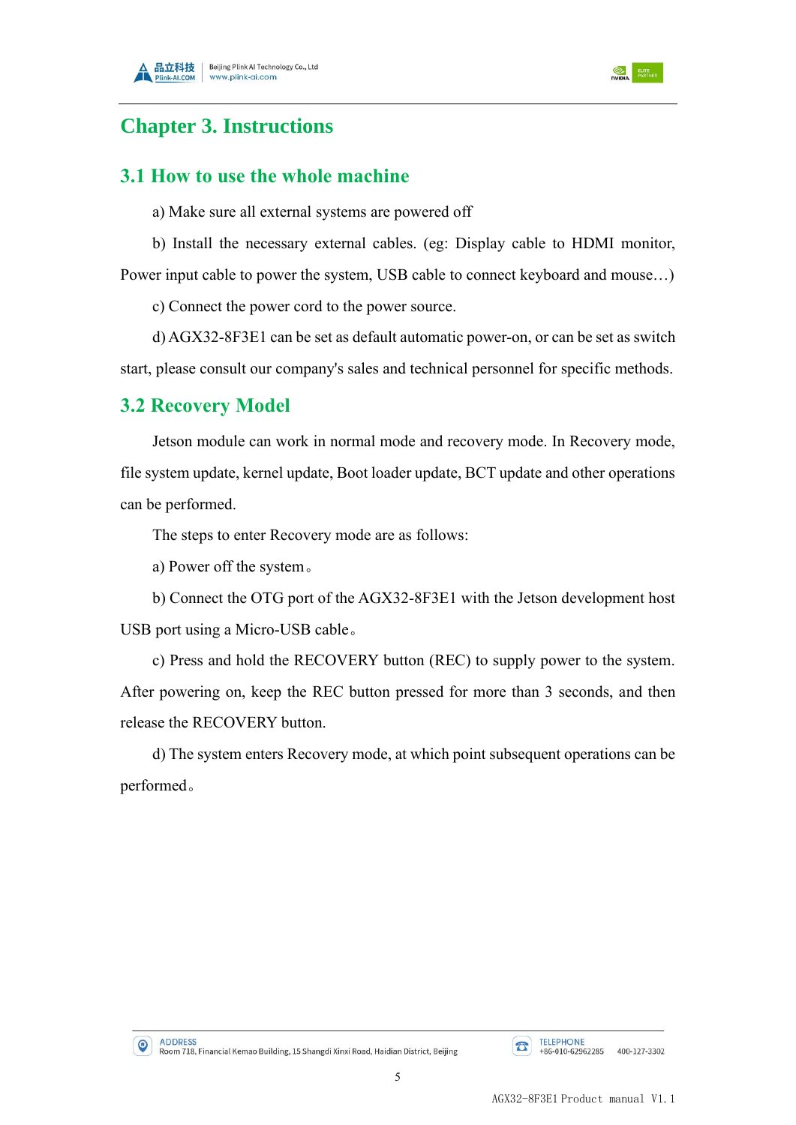



## <span id="page-8-0"></span>**Chapter 3. Instructions**

#### <span id="page-8-1"></span>**3.1 How to use the whole machine**

a) Make sure all external systems are powered off

b) Install the necessary external cables. (eg: Display cable to HDMI monitor, Power input cable to power the system, USB cable to connect keyboard and mouse…)

c) Connect the power cord to the power source.

d) AGX32-8F3E1 can be set as default automatic power-on, or can be set as switch start, please consult our company's sales and technical personnel for specific methods.

#### <span id="page-8-2"></span>**3.2 Recovery Model**

Jetson module can work in normal mode and recovery mode. In Recovery mode, file system update, kernel update, Boot loader update, BCT update and other operations can be performed.

The steps to enter Recovery mode are as follows:

a) Power off the system。

b) Connect the OTG port of the AGX32-8F3E1 with the Jetson development host USB port using a Micro-USB cable。

c) Press and hold the RECOVERY button (REC) to supply power to the system. After powering on, keep the REC button pressed for more than 3 seconds, and then release the RECOVERY button.

d) The system enters Recovery mode, at which point subsequent operations can be performed。